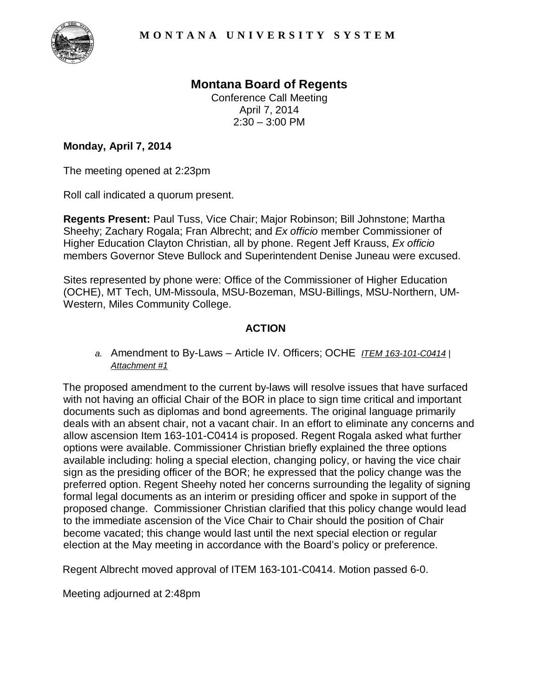

## **Montana Board of Regents**

Conference Call Meeting April 7, 2014  $2:30 - 3:00$  PM

## **Monday, April 7, 2014**

The meeting opened at 2:23pm

Roll call indicated a quorum present.

**Regents Present:** Paul Tuss, Vice Chair; Major Robinson; Bill Johnstone; Martha Sheehy; Zachary Rogala; Fran Albrecht; and *Ex officio* member Commissioner of Higher Education Clayton Christian, all by phone. Regent Jeff Krauss, *Ex officio* members Governor Steve Bullock and Superintendent Denise Juneau were excused.

Sites represented by phone were: Office of the Commissioner of Higher Education (OCHE), MT Tech, UM-Missoula, MSU-Bozeman, MSU-Billings, MSU-Northern, UM-Western, Miles Community College.

## **ACTION**

*a.* Amendment to By-Laws – Article IV. Officers; OCHE *ITEM 163-101-C0414* | *Attachment #1*

The proposed amendment to the current by-laws will resolve issues that have surfaced with not having an official Chair of the BOR in place to sign time critical and important documents such as diplomas and bond agreements. The original language primarily deals with an absent chair, not a vacant chair. In an effort to eliminate any concerns and allow ascension Item 163-101-C0414 is proposed. Regent Rogala asked what further options were available. Commissioner Christian briefly explained the three options available including: holing a special election, changing policy, or having the vice chair sign as the presiding officer of the BOR; he expressed that the policy change was the preferred option. Regent Sheehy noted her concerns surrounding the legality of signing formal legal documents as an interim or presiding officer and spoke in support of the proposed change. Commissioner Christian clarified that this policy change would lead to the immediate ascension of the Vice Chair to Chair should the position of Chair become vacated; this change would last until the next special election or regular election at the May meeting in accordance with the Board's policy or preference.

Regent Albrecht moved approval of ITEM 163-101-C0414. Motion passed 6-0.

Meeting adjourned at 2:48pm